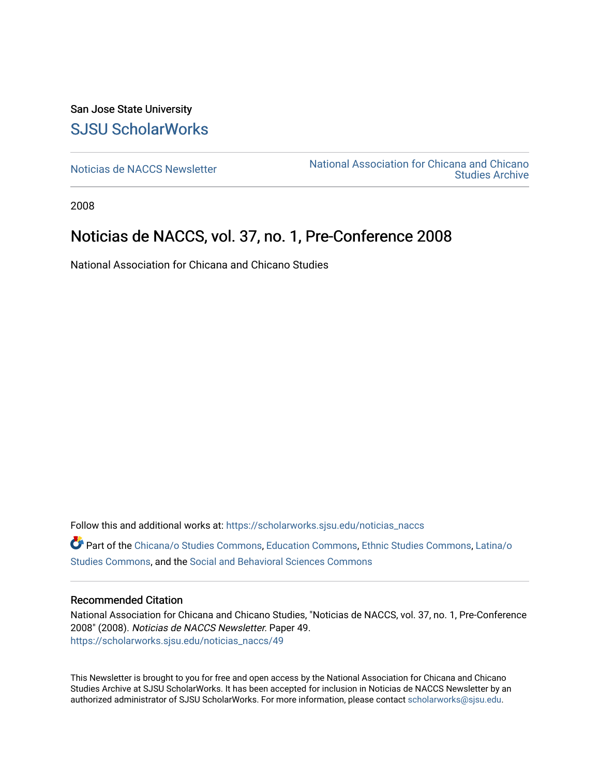San Jose State University [SJSU ScholarWorks](https://scholarworks.sjsu.edu/) 

[Noticias de NACCS Newsletter](https://scholarworks.sjsu.edu/noticias_naccs) National Association for Chicana and Chicano [Studies Archive](https://scholarworks.sjsu.edu/naccs_archives) 

2008

## Noticias de NACCS, vol. 37, no. 1, Pre-Conference 2008

National Association for Chicana and Chicano Studies

Follow this and additional works at: [https://scholarworks.sjsu.edu/noticias\\_naccs](https://scholarworks.sjsu.edu/noticias_naccs?utm_source=scholarworks.sjsu.edu%2Fnoticias_naccs%2F49&utm_medium=PDF&utm_campaign=PDFCoverPages) Part of the [Chicana/o Studies Commons](http://network.bepress.com/hgg/discipline/569?utm_source=scholarworks.sjsu.edu%2Fnoticias_naccs%2F49&utm_medium=PDF&utm_campaign=PDFCoverPages), [Education Commons,](http://network.bepress.com/hgg/discipline/784?utm_source=scholarworks.sjsu.edu%2Fnoticias_naccs%2F49&utm_medium=PDF&utm_campaign=PDFCoverPages) [Ethnic Studies Commons](http://network.bepress.com/hgg/discipline/570?utm_source=scholarworks.sjsu.edu%2Fnoticias_naccs%2F49&utm_medium=PDF&utm_campaign=PDFCoverPages), [Latina/o](http://network.bepress.com/hgg/discipline/1315?utm_source=scholarworks.sjsu.edu%2Fnoticias_naccs%2F49&utm_medium=PDF&utm_campaign=PDFCoverPages)  [Studies Commons,](http://network.bepress.com/hgg/discipline/1315?utm_source=scholarworks.sjsu.edu%2Fnoticias_naccs%2F49&utm_medium=PDF&utm_campaign=PDFCoverPages) and the [Social and Behavioral Sciences Commons](http://network.bepress.com/hgg/discipline/316?utm_source=scholarworks.sjsu.edu%2Fnoticias_naccs%2F49&utm_medium=PDF&utm_campaign=PDFCoverPages)

#### Recommended Citation

National Association for Chicana and Chicano Studies, "Noticias de NACCS, vol. 37, no. 1, Pre-Conference 2008" (2008). Noticias de NACCS Newsletter. Paper 49. [https://scholarworks.sjsu.edu/noticias\\_naccs/49](https://scholarworks.sjsu.edu/noticias_naccs/49?utm_source=scholarworks.sjsu.edu%2Fnoticias_naccs%2F49&utm_medium=PDF&utm_campaign=PDFCoverPages) 

This Newsletter is brought to you for free and open access by the National Association for Chicana and Chicano Studies Archive at SJSU ScholarWorks. It has been accepted for inclusion in Noticias de NACCS Newsletter by an authorized administrator of SJSU ScholarWorks. For more information, please contact [scholarworks@sjsu.edu.](mailto:scholarworks@sjsu.edu)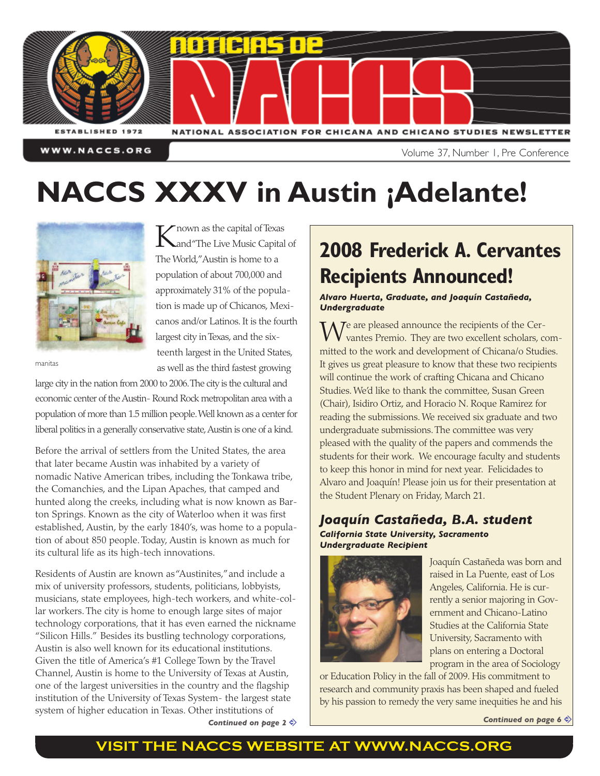

WWW.NACCS.ORG

Volume 37, Number 1, Pre Conference

# **NACCS XXXV in Austin ¡Adelante!**



 $\sqrt{\ }$  nown as the capital of Texas and"The Live Music Capital of The World,"Austin is home to a population of about 700,000 and approximately 31% of the population is made up of Chicanos, Mexicanos and/or Latinos. It is the fourth largest city in Texas, and the sixteenth largest in the United States, as well as the third fastest growing

manitas

large city in the nation from 2000 to 2006.The city is the cultural and economic center of the Austin- Round Rock metropolitan area with a population of more than 1.5 million people. Well known as a center for liberal politics in a generally conservative state, Austin is one of a kind.

Before the arrival of settlers from the United States, the area that later became Austin was inhabited by a variety of nomadic Native American tribes, including the Tonkawa tribe, the Comanchies, and the Lipan Apaches, that camped and hunted along the creeks, including what is now known as Barton Springs. Known as the city of Waterloo when it was first established, Austin, by the early 1840's, was home to a population of about 850 people. Today, Austin is known as much for its cultural life as its high-tech innovations.

Residents of Austin are known as"Austinites,"and include a mix of university professors, students, politicians, lobbyists, musicians, state employees, high-tech workers, and white-collar workers. The city is home to enough large sites of major technology corporations, that it has even earned the nickname "Silicon Hills." Besides its bustling technology corporations, Austin is also well known for its educational institutions. Given the title of America's #1 College Town by the Travel Channel, Austin is home to the University of Texas at Austin, one of the largest universities in the country and the flagship institution of the University of Texas System- the largest state system of higher education in Texas. Other institutions of

## **2008 Frederick A. Cervantes Recipients Announced!**

#### *Alvaro Huerta, Graduate, and Joaquín Castañeda, Undergraduate*

 $M^e$  are pleased announce the recipients of the Cervantes Premio. They are two excellent scholars, committed to the work and development of Chicana/o Studies. It gives us great pleasure to know that these two recipients will continue the work of crafting Chicana and Chicano Studies. We'd like to thank the committee, Susan Green (Chair), Isidiro Ortiz, and Horacio N. Roque Ramirez for reading the submissions. We received six graduate and two undergraduate submissions.The committee was very pleased with the quality of the papers and commends the students for their work. We encourage faculty and students to keep this honor in mind for next year. Felicidades to Alvaro and Joaquín! Please join us for their presentation at the Student Plenary on Friday, March 21.

#### *Joaquín Castañeda, B.A. student California State University, Sacramento Undergraduate Recipient*



Joaquín Castañeda was born and raised in La Puente, east of Los Angeles, California. He is currently a senior majoring in Government and Chicano-Latino Studies at the California State University, Sacramento with plans on entering a Doctoral program in the area of Sociology

or Education Policy in the fall of 2009. His commitment to research and community praxis has been shaped and fueled by his passion to remedy the very same inequities he and his

**[Continued](#page-6-0)** on page 2  $\Leftrightarrow$  **Continued** on page 6  $\Leftrightarrow$  **Continued** on page 6  $\Leftrightarrow$ 

## **VISIT THE NACCS WEBSITE AT [WWW.NACCS.ORG](http://www.naccs.org)**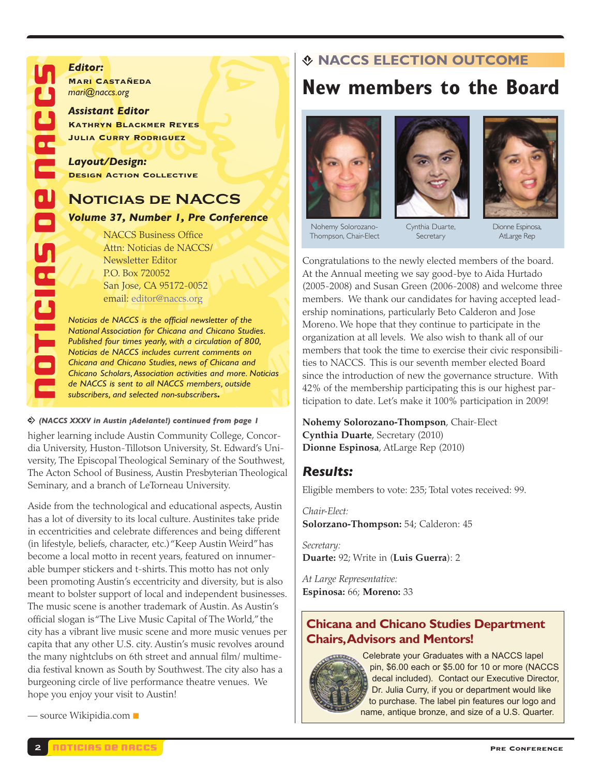#### *Editor:*

**Mari Castañeda** *[mari@naccs.org](mailto:mari@naccs.org)*

*Assistant Editor* **Kathryn Blackmer Reyes Julia Curry Rodriguez**

*Layout/Design:* **Design Action Collective**

### **Noticias de NACCS** *Volume 37, Number 1, Pre Conference*

NACCS Business Office Attn: Noticias de NACCS/ Newsletter Editor P.O. Box 720052 San Jose, CA 95172-0052 email: [editor@naccs.org](mailto:editor@naccs.org)

*Noticias de NACCS is the official newsletter of the National Association for Chicana and Chicano Studies. Published four times yearly, with a circulation of 800, Noticias de NACCS includes current comments on Chicana and Chicano Studies, news of Chicana and Chicano Scholars,Association activities and more. Noticias de NACCS is sent to all NACCS members, outside subscribers, and selected non-subscribers.*

#### m *(NACCS XXXV in Austin ¡Adelante!) continued from page 1*

higher learning include Austin Community College, Concordia University, Huston-Tillotson University, St. Edward's University, The Episcopal Theological Seminary of the Southwest, The Acton School of Business, Austin Presbyterian Theological Seminary, and a branch of LeTorneau University.

Aside from the technological and educational aspects, Austin has a lot of diversity to its local culture. Austinites take pride in eccentricities and celebrate differences and being different (in lifestyle, beliefs, character, etc.)"Keep Austin Weird"has become a local motto in recent years, featured on innumerable bumper stickers and t-shirts. This motto has not only been promoting Austin's eccentricity and diversity, but is also meant to bolster support of local and independent businesses. The music scene is another trademark of Austin. As Austin's official slogan is"The Live Music Capital of The World,"the city has a vibrant live music scene and more music venues per capita that any other U.S. city. Austin's music revolves around the many nightclubs on 6th street and annual film/ multimedia festival known as South by Southwest. The city also has a burgeoning circle of live performance theatre venues. We hope you enjoy your visit to Austin!

— source [Wikipidia.com](http://www.wikipidia.com) ■

## Â **NACCS ELECTION OUTCOME**

## **New members to the Board**







Nohemy Solorozano-Thompson, Chair-Elect Cynthia Duarte, **Secretary** 

Dionne Espinosa, AtLarge Rep

Congratulations to the newly elected members of the board. At the Annual meeting we say good-bye to Aida Hurtado (2005-2008) and Susan Green (2006-2008) and welcome three members. We thank our candidates for having accepted leadership nominations, particularly Beto Calderon and Jose Moreno. We hope that they continue to participate in the organization at all levels. We also wish to thank all of our members that took the time to exercise their civic responsibilities to NACCS. This is our seventh member elected Board since the introduction of new the governance structure. With 42% of the membership participating this is our highest participation to date. Let's make it 100% participation in 2009!

**Nohemy Solorozano-Thompson**, Chair-Elect **Cynthia Duarte**, Secretary (2010) **Dionne Espinosa**, AtLarge Rep (2010)

#### *Results:*

Eligible members to vote: 235; Total votes received: 99.

*Chair-Elect:* **Solorzano-Thompson:** 54; Calderon: 45

*Secretary:* **Duarte:** 92; Write in (**Luis Guerra**): 2

*At Large Representative:* **Espinosa:** 66; **Moreno:** 33

#### **Chicana and Chicano Studies Department Chairs,Advisors and Mentors!**



Celebrate your Graduates with a NACCS lapel pin, \$6.00 each or \$5.00 for 10 or more (NACCS decal included). Contact our Executive Director, Dr. Julia Curry, if you or department would like to purchase. The label pin features our logo and name, antique bronze, and size of a U.S. Quarter.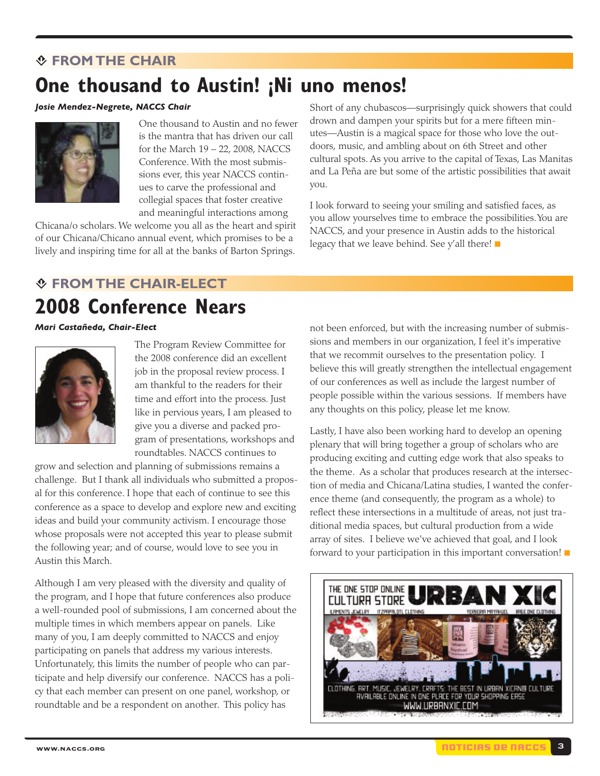### Â **FROM THE CHAIR**

## **One thousand to Austin! ¡Ni uno menos!**

#### *Josie Mendez-Negrete, NACCS Chair*



One thousand to Austin and no fewer is the mantra that has driven our call for the March 19 – 22, 2008, NACCS Conference. With the most submissions ever, this year NACCS continues to carve the professional and collegial spaces that foster creative and meaningful interactions among

Chicana/o scholars. We welcome you all as the heart and spirit of our Chicana/Chicano annual event, which promises to be a lively and inspiring time for all at the banks of Barton Springs.

Short of any chubascos—surprisingly quick showers that could drown and dampen your spirits but for a mere fifteen minutes—Austin is a magical space for those who love the outdoors, music, and ambling about on 6th Street and other cultural spots. As you arrive to the capital of Texas, Las Manitas and La Peña are but some of the artistic possibilities that await you.

I look forward to seeing your smiling and satisfied faces, as you allow yourselves time to embrace the possibilities.You are NACCS, and your presence in Austin adds to the historical legacy that we leave behind. See y'all there! ■

## Â **FROM THE CHAIR-ELECT 2008 Conference Nears**

*Mari Castañeda, Chair-Elect*



The Program Review Committee for the 2008 conference did an excellent job in the proposal review process. I am thankful to the readers for their time and effort into the process. Just like in pervious years, I am pleased to give you a diverse and packed program of presentations, workshops and roundtables. NACCS continues to

grow and selection and planning of submissions remains a challenge. But I thank all individuals who submitted a proposal for this conference. I hope that each of continue to see this conference as a space to develop and explore new and exciting ideas and build your community activism. I encourage those whose proposals were not accepted this year to please submit the following year; and of course, would love to see you in Austin this March.

Although I am very pleased with the diversity and quality of the program, and I hope that future conferences also produce a well-rounded pool of submissions, I am concerned about the multiple times in which members appear on panels. Like many of you, I am deeply committed to NACCS and enjoy participating on panels that address my various interests. Unfortunately, this limits the number of people who can participate and help diversify our conference. NACCS has a policy that each member can present on one panel, workshop, or roundtable and be a respondent on another. This policy has

not been enforced, but with the increasing number of submissions and members in our organization, I feel it's imperative that we recommit ourselves to the presentation policy. I believe this will greatly strengthen the intellectual engagement of our conferences as well as include the largest number of people possible within the various sessions. If members have any thoughts on this policy, please let me know.

Lastly, I have also been working hard to develop an opening plenary that will bring together a group of scholars who are producing exciting and cutting edge work that also speaks to the theme. As a scholar that produces research at the intersection of media and Chicana/Latina studies, I wanted the conference theme (and consequently, the program as a whole) to reflect these intersections in a multitude of areas, not just traditional media spaces, but cultural production from a wide array of sites. I believe we've achieved that goal, and I look forward to your participation in this important conversation! ■

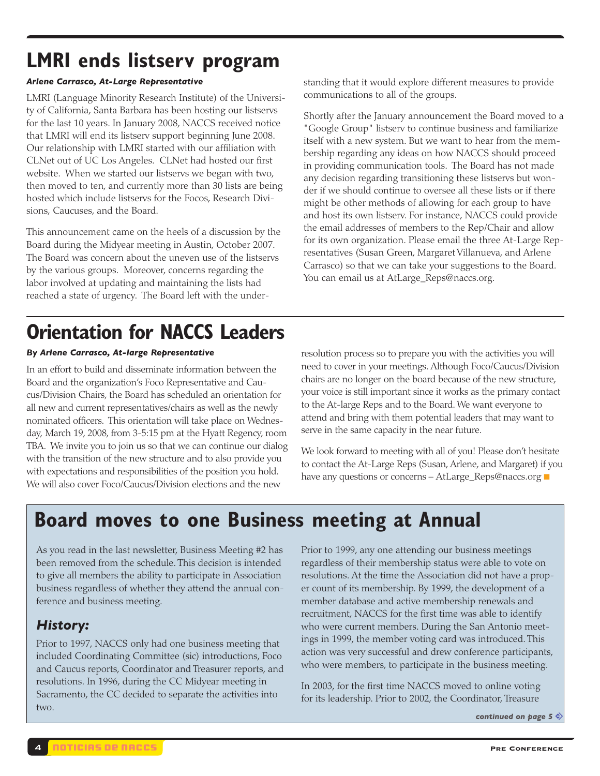## **LMRI ends listserv program**

#### *Arlene Carrasco, At-Large Representative*

LMRI (Language Minority Research Institute) of the University of California, Santa Barbara has been hosting our listservs for the last 10 years. In January 2008, NACCS received notice that LMRI will end its listserv support beginning June 2008. Our relationship with LMRI started with our affiliation with CLNet out of UC Los Angeles. CLNet had hosted our first website. When we started our listservs we began with two, then moved to ten, and currently more than 30 lists are being hosted which include listservs for the Focos, Research Divisions, Caucuses, and the Board.

This announcement came on the heels of a discussion by the Board during the Midyear meeting in Austin, October 2007. The Board was concern about the uneven use of the listservs by the various groups. Moreover, concerns regarding the labor involved at updating and maintaining the lists had reached a state of urgency. The Board left with the understanding that it would explore different measures to provide communications to all of the groups.

Shortly after the January announcement the Board moved to a "Google Group" listserv to continue business and familiarize itself with a new system. But we want to hear from the membership regarding any ideas on how NACCS should proceed in providing communication tools. The Board has not made any decision regarding transitioning these listservs but wonder if we should continue to oversee all these lists or if there might be other methods of allowing for each group to have and host its own listserv. For instance, NACCS could provide the email addresses of members to the Rep/Chair and allow for its own organization. Please email the three At-Large Representatives (Susan Green, Margaret Villanueva, and Arlene Carrasco) so that we can take your suggestions to the Board. You can email us at [AtLarge\\_Reps@naccs.org.](mailto:atlarge_reps@naccs.org)

# **Orientation for NACCS Leaders**

#### *By Arlene Carrasco, At-large Representative*

In an effort to build and disseminate information between the Board and the organization's Foco Representative and Caucus/Division Chairs, the Board has scheduled an orientation for all new and current representatives/chairs as well as the newly nominated officers. This orientation will take place on Wednesday, March 19, 2008, from 3-5:15 pm at the Hyatt Regency, room TBA. We invite you to join us so that we can continue our dialog with the transition of the new structure and to also provide you with expectations and responsibilities of the position you hold. We will also cover Foco/Caucus/Division elections and the new

resolution process so to prepare you with the activities you will need to cover in your meetings. Although Foco/Caucus/Division chairs are no longer on the board because of the new structure, your voice is still important since it works as the primary contact to the At-large Reps and to the Board. We want everyone to attend and bring with them potential leaders that may want to serve in the same capacity in the near future.

We look forward to meeting with all of you! Please don't hesitate to contact the At-Large Reps (Susan, Arlene, and Margaret) if you have any questions or concerns – [AtLarge\\_Reps@naccs.org](mailto:atlarge_reps@naccs.org) ■

## **Board moves to one Business meeting at Annual**

As you read in the last newsletter, Business Meeting #2 has been removed from the schedule. This decision is intended to give all members the ability to participate in Association business regardless of whether they attend the annual conference and business meeting.

## *History:*

Prior to 1997, NACCS only had one business meeting that included Coordinating Committee (sic) introductions, Foco and Caucus reports, Coordinator and Treasurer reports, and resolutions. In 1996, during the CC Midyear meeting in Sacramento, the CC decided to separate the activities into two.

Prior to 1999, any one attending our business meetings regardless of their membership status were able to vote on resolutions. At the time the Association did not have a proper count of its membership. By 1999, the development of a member database and active membership renewals and recruitment, NACCS for the first time was able to identify who were current members. During the San Antonio meetings in 1999, the member voting card was introduced. This action was very successful and drew conference participants, who were members, to participate in the business meeting.

In 2003, for the first time NACCS moved to online voting for its leadership. Prior to 2002, the Coordinator, Treasure

*[continued](#page-5-0) on page 5* m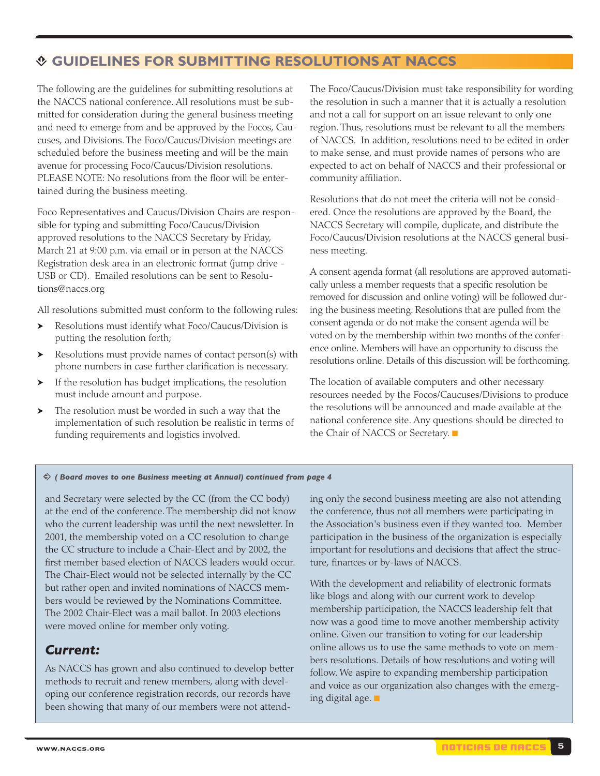### <span id="page-5-0"></span>Â **GUIDELINES FOR SUBMITTING RESOLUTIONS AT NACCS**

The following are the guidelines for submitting resolutions at the NACCS national conference. All resolutions must be submitted for consideration during the general business meeting and need to emerge from and be approved by the Focos, Caucuses, and Divisions. The Foco/Caucus/Division meetings are scheduled before the business meeting and will be the main avenue for processing Foco/Caucus/Division resolutions. PLEASE NOTE: No resolutions from the floor will be entertained during the business meeting.

Foco Representatives and Caucus/Division Chairs are responsible for typing and submitting Foco/Caucus/Division approved resolutions to the NACCS Secretary by Friday, March 21 at 9:00 p.m. via email or in person at the NACCS Registration desk area in an electronic format (jump drive - USB or CD). Emailed resolutions can be sent to [Resolu](mailto:resolutions@naccs.org)[tions@naccs.org](mailto:resolutions@naccs.org)

All resolutions submitted must conform to the following rules:

- b Resolutions must identify what Foco/Caucus/Division is putting the resolution forth;
- Resolutions must provide names of contact person(s) with phone numbers in case further clarification is necessary.
- If the resolution has budget implications, the resolution must include amount and purpose.
- The resolution must be worded in such a way that the implementation of such resolution be realistic in terms of funding requirements and logistics involved.

The Foco/Caucus/Division must take responsibility for wording the resolution in such a manner that it is actually a resolution and not a call for support on an issue relevant to only one region. Thus, resolutions must be relevant to all the members of NACCS. In addition, resolutions need to be edited in order to make sense, and must provide names of persons who are expected to act on behalf of NACCS and their professional or community affiliation.

Resolutions that do not meet the criteria will not be considered. Once the resolutions are approved by the Board, the NACCS Secretary will compile, duplicate, and distribute the Foco/Caucus/Division resolutions at the NACCS general business meeting.

A consent agenda format (all resolutions are approved automatically unless a member requests that a specific resolution be removed for discussion and online voting) will be followed during the business meeting. Resolutions that are pulled from the consent agenda or do not make the consent agenda will be voted on by the membership within two months of the conference online. Members will have an opportunity to discuss the resolutions online. Details of this discussion will be forthcoming.

The location of available computers and other necessary resources needed by the Focos/Caucuses/Divisions to produce the resolutions will be announced and made available at the national conference site. Any questions should be directed to the Chair of NACCS or Secretary. ■

#### m *( Board moves to one Business meeting at Annual) continued from page 4*

and Secretary were selected by the CC (from the CC body) at the end of the conference. The membership did not know who the current leadership was until the next newsletter. In 2001, the membership voted on a CC resolution to change the CC structure to include a Chair-Elect and by 2002, the first member based election of NACCS leaders would occur. The Chair-Elect would not be selected internally by the CC but rather open and invited nominations of NACCS members would be reviewed by the Nominations Committee. The 2002 Chair-Elect was a mail ballot. In 2003 elections were moved online for member only voting.

### *Current:*

As NACCS has grown and also continued to develop better methods to recruit and renew members, along with developing our conference registration records, our records have been showing that many of our members were not attending only the second business meeting are also not attending the conference, thus not all members were participating in the Association's business even if they wanted too. Member participation in the business of the organization is especially important for resolutions and decisions that affect the structure, finances or by-laws of NACCS.

With the development and reliability of electronic formats like blogs and along with our current work to develop membership participation, the NACCS leadership felt that now was a good time to move another membership activity online. Given our transition to voting for our leadership online allows us to use the same methods to vote on members resolutions. Details of how resolutions and voting will follow. We aspire to expanding membership participation and voice as our organization also changes with the emerging digital age. ■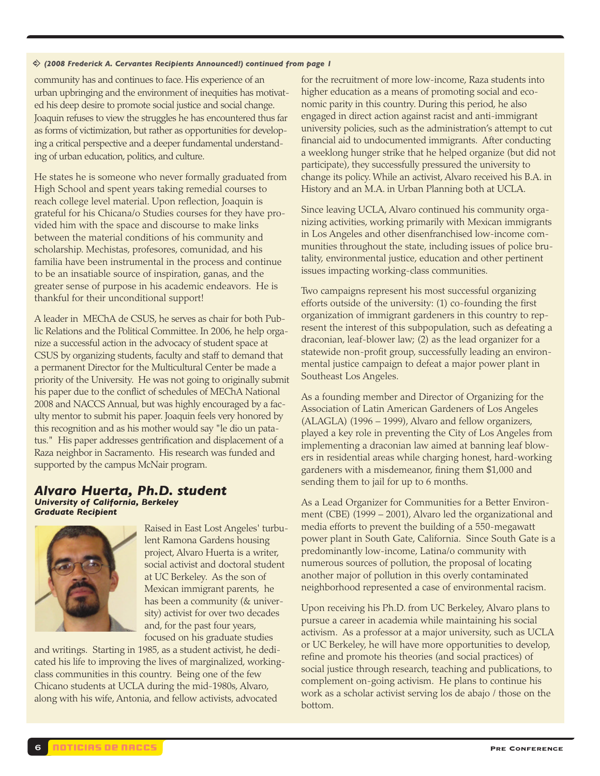#### <span id="page-6-0"></span>m *(2008 Frederick A. Cervantes Recipients Announced!) continued from page 1*

community has and continues to face. His experience of an urban upbringing and the environment of inequities has motivated his deep desire to promote social justice and social change. Joaquin refuses to view the struggles he has encountered thus far as forms of victimization, but rather as opportunities for developing a critical perspective and a deeper fundamental understanding of urban education, politics, and culture.

He states he is someone who never formally graduated from High School and spent years taking remedial courses to reach college level material. Upon reflection, Joaquin is grateful for his Chicana/o Studies courses for they have provided him with the space and discourse to make links between the material conditions of his community and scholarship. Mechistas, profesores, comunidad, and his familia have been instrumental in the process and continue to be an insatiable source of inspiration, ganas, and the greater sense of purpose in his academic endeavors. He is thankful for their unconditional support!

A leader in MEChA de CSUS, he serves as chair for both Public Relations and the Political Committee. In 2006, he help organize a successful action in the advocacy of student space at CSUS by organizing students, faculty and staff to demand that a permanent Director for the Multicultural Center be made a priority of the University. He was not going to originally submit his paper due to the conflict of schedules of MEChA National 2008 and NACCS Annual, but was highly encouraged by a faculty mentor to submit his paper. Joaquin feels very honored by this recognition and as his mother would say "le dio un patatus." His paper addresses gentrification and displacement of a Raza neighbor in Sacramento. His research was funded and supported by the campus McNair program.

#### *Alvaro Huerta, Ph.D. student University of California, Berkeley Graduate Recipient*



Raised in East Lost Angeles' turbulent Ramona Gardens housing project, Alvaro Huerta is a writer, social activist and doctoral student at UC Berkeley. As the son of Mexican immigrant parents, he has been a community (& university) activist for over two decades and, for the past four years, focused on his graduate studies

and writings. Starting in 1985, as a student activist, he dedicated his life to improving the lives of marginalized, workingclass communities in this country. Being one of the few Chicano students at UCLA during the mid-1980s, Alvaro, along with his wife, Antonia, and fellow activists, advocated

for the recruitment of more low-income, Raza students into higher education as a means of promoting social and economic parity in this country. During this period, he also engaged in direct action against racist and anti-immigrant university policies, such as the administration's attempt to cut financial aid to undocumented immigrants. After conducting a weeklong hunger strike that he helped organize (but did not participate), they successfully pressured the university to change its policy. While an activist, Alvaro received his B.A. in History and an M.A. in Urban Planning both at UCLA.

Since leaving UCLA, Alvaro continued his community organizing activities, working primarily with Mexican immigrants in Los Angeles and other disenfranchised low-income communities throughout the state, including issues of police brutality, environmental justice, education and other pertinent issues impacting working-class communities.

Two campaigns represent his most successful organizing efforts outside of the university: (1) co-founding the first organization of immigrant gardeners in this country to represent the interest of this subpopulation, such as defeating a draconian, leaf-blower law; (2) as the lead organizer for a statewide non-profit group, successfully leading an environmental justice campaign to defeat a major power plant in Southeast Los Angeles.

As a founding member and Director of Organizing for the Association of Latin American Gardeners of Los Angeles (ALAGLA) (1996 – 1999), Alvaro and fellow organizers, played a key role in preventing the City of Los Angeles from implementing a draconian law aimed at banning leaf blowers in residential areas while charging honest, hard-working gardeners with a misdemeanor, fining them \$1,000 and sending them to jail for up to 6 months.

As a Lead Organizer for Communities for a Better Environment (CBE) (1999 – 2001), Alvaro led the organizational and media efforts to prevent the building of a 550-megawatt power plant in South Gate, California. Since South Gate is a predominantly low-income, Latina/o community with numerous sources of pollution, the proposal of locating another major of pollution in this overly contaminated neighborhood represented a case of environmental racism.

Upon receiving his Ph.D. from UC Berkeley, Alvaro plans to pursue a career in academia while maintaining his social activism. As a professor at a major university, such as UCLA or UC Berkeley, he will have more opportunities to develop, refine and promote his theories (and social practices) of social justice through research, teaching and publications, to complement on-going activism. He plans to continue his work as a scholar activist serving los de abajo / those on the bottom.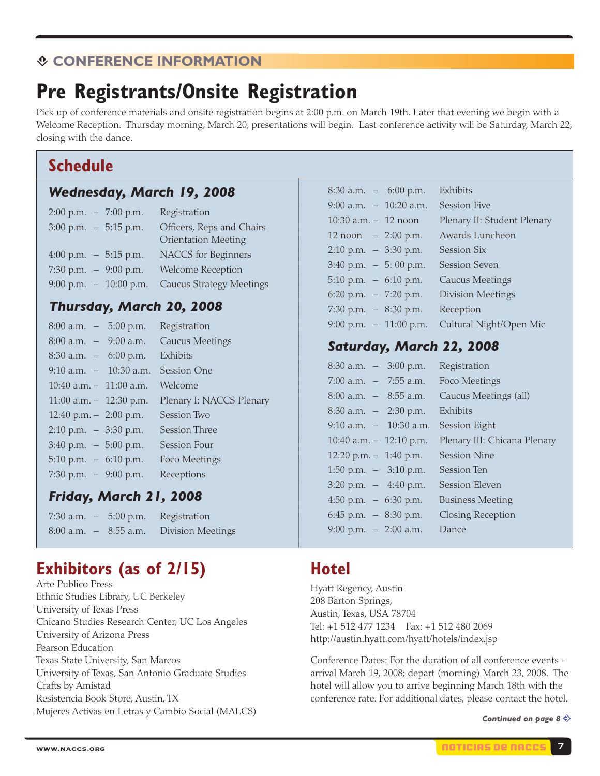### Â **CONFERENCE INFORMATION**

## **Pre Registrants/Onsite Registration**

Pick up of conference materials and onsite registration begins at 2:00 p.m. on March 19th. Later that evening we begin with a Welcome Reception. Thursday morning, March 20, presentations will begin. Last conference activity will be Saturday, March 22, closing with the dance.

## **Schedule**

### *Wednesday, March 19, 2008*

| $2:00$ p.m. $-7:00$ p.m. |                         | Registration                    |
|--------------------------|-------------------------|---------------------------------|
| $3:00$ p.m. $-5:15$ p.m. |                         | Officers, Reps and Chairs       |
|                          |                         | <b>Orientation Meeting</b>      |
| 4:00 p.m. $-$ 5:15 p.m.  |                         | <b>NACCS</b> for Beginners      |
| 7:30 p.m. $-$ 9:00 p.m.  |                         | <b>Welcome Reception</b>        |
|                          | 9:00 p.m. $-10:00$ p.m. | <b>Caucus Strategy Meetings</b> |

## *Thursday, March 20, 2008*

|                          | $8:00$ a.m. $-5:00$ p.m.    | Registration             |
|--------------------------|-----------------------------|--------------------------|
|                          | $8:00$ a.m. $-$ 9:00 a.m.   | Caucus Meetings          |
|                          | $8:30$ a.m. $-6:00$ p.m.    | Exhibits                 |
|                          | 9:10 a.m. $-$ 10:30 a.m.    | Session One              |
|                          | $10:40$ a.m. $-11:00$ a.m.  | Welcome                  |
|                          | $11:00$ a.m. $-$ 12:30 p.m. | Plenary I: NACCS Plenary |
| 12:40 p.m. $-$ 2:00 p.m. |                             | Session Two              |
| $2:10$ p.m. $-3:30$ p.m. |                             | Session Three            |
| $3:40$ p.m. $-5:00$ p.m. |                             | Session Four             |
| 5:10 p.m. $-6:10$ p.m.   |                             | Foco Meetings            |
| 7:30 p.m. $-$ 9:00 p.m.  |                             | Receptions               |

### *Friday, March 21, 2008*

7:30 a.m. – 5:00 p.m. Registration 8:00 a.m. – 8:55 a.m. Division Meetings

## **Exhibitors (as of 2/15)**

Arte Publico Press Ethnic Studies Library, UC Berkeley University of Texas Press Chicano Studies Research Center, UC Los Angeles University of Arizona Press Pearson Education Texas State University, San Marcos University of Texas, San Antonio Graduate Studies Crafts by Amistad Resistencia Book Store, Austin, TX Mujeres Activas en Letras y Cambio Social (MALCS)

| 8:30 a.m. $-6:00$ p.m.                | Exhibits                    |
|---------------------------------------|-----------------------------|
| 9:00 a.m. $-10:20$ a.m.               | <b>Session Five</b>         |
| $10:30$ a.m. $-12$ noon               | Plenary II: Student Plenary |
| $12 \text{ noon} - 2:00 \text{ p.m.}$ | Awards Luncheon             |
| $2:10$ p.m. $-3:30$ p.m.              | Session Six                 |
| $3:40$ p.m. $-5:00$ p.m.              | Session Seven               |
| 5:10 p.m. $-6:10$ p.m.                | Caucus Meetings             |
| 6:20 p.m. $-7:20$ p.m.                | Division Meetings           |
| 7:30 p.m. $-$ 8:30 p.m.               | Reception                   |
| 9:00 p.m. $-11:00$ p.m.               | Cultural Night/Open Mic     |

### *Saturday, March 22, 2008*

| $8:30$ a.m. $-3:00$ p.m.  | Registration                 |
|---------------------------|------------------------------|
| $7:00$ a.m. $-7:55$ a.m.  | Foco Meetings                |
| $8:00$ a.m. $-$ 8:55 a.m. | Caucus Meetings (all)        |
| $8:30$ a.m. $-$ 2:30 p.m. | Exhibits                     |
| 9:10 a.m. $-$ 10:30 a.m.  | Session Eight                |
| 10:40 a.m. $-$ 12:10 p.m. | Plenary III: Chicana Plenary |
| 12:20 p.m. $-$ 1:40 p.m.  | Session Nine                 |
| 1:50 p.m. $-$ 3:10 p.m.   | Session Ten                  |
| $3:20$ p.m. $-4:40$ p.m.  | Session Eleven               |
| 4:50 p.m. $-6:30$ p.m.    | <b>Business Meeting</b>      |
| 6:45 p.m. $-$ 8:30 p.m.   | Closing Reception            |
| 9:00 p.m. $-$ 2:00 a.m.   | Dance                        |

## **Hotel**

Hyatt Regency, Austin 208 Barton Springs, Austin, Texas, USA 78704 Tel: +1 512 477 1234 Fax: +1 512 480 2069 <http://austin.hyatt.com/hyatt/hotels/index.jsp>

Conference Dates: For the duration of all conference events arrival March 19, 2008; depart (morning) March 23, 2008. The hotel will allow you to arrive beginning March 18th with the conference rate. For additional dates, please contact the hotel.

*[Continued](#page-8-0) on page 8*  $\Leftrightarrow$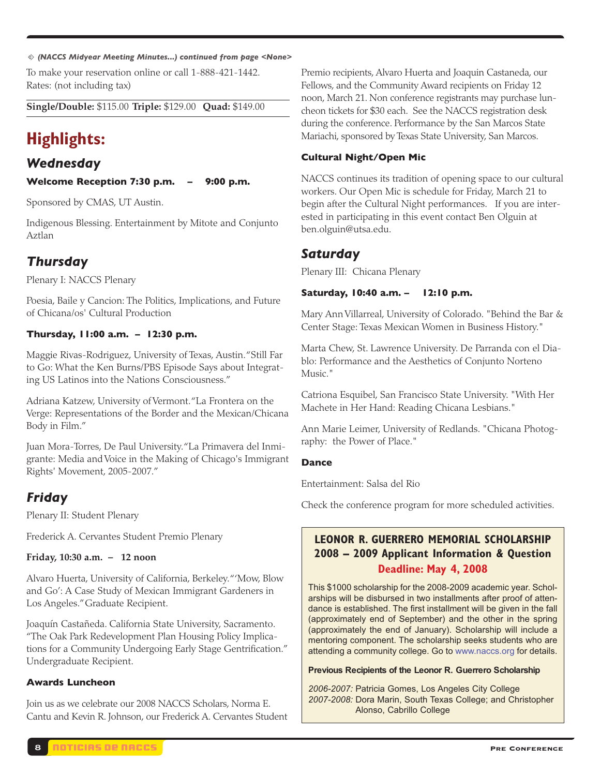#### <span id="page-8-0"></span>m *(NACCS Midyear Meeting Minutes...) continued from page <None>*

To make your reservation online or call 1-888-421-1442. Rates: (not including tax)

**Single/Double:** \$115.00 **Triple:** \$129.00 **Quad:** \$149.00

## **Highlights:**

### *Wednesday*

**Welcome Reception 7:30 p.m. – 9:00 p.m.**

Sponsored by CMAS, UT Austin.

Indigenous Blessing. Entertainment by Mitote and Conjunto Aztlan

## *Thursday*

Plenary I: NACCS Plenary

Poesia, Baile y Cancion: The Politics, Implications, and Future of Chicana/os' Cultural Production

#### **Thursday, 11:00 a.m. – 12:30 p.m.**

Maggie Rivas-Rodriguez, University of Texas, Austin."Still Far to Go: What the Ken Burns/PBS Episode Says about Integrating US Latinos into the Nations Consciousness."

Adriana Katzew, University of Vermont. "La Frontera on the Verge: Representations of the Border and the Mexican/Chicana Body in Film."

Juan Mora-Torres, De Paul University."La Primavera del Inmigrante: Media andVoice in the Making of Chicago's Immigrant Rights' Movement, 2005-2007."

## *Friday*

Plenary II: Student Plenary

Frederick A. Cervantes Student Premio Plenary

#### **Friday, 10:30 a.m. – 12 noon**

Alvaro Huerta, University of California, Berkeley."'Mow, Blow and Go': A Case Study of Mexican Immigrant Gardeners in Los Angeles."Graduate Recipient.

Joaquín Castañeda. California State University, Sacramento. "The Oak Park Redevelopment Plan Housing Policy Implications for a Community Undergoing Early Stage Gentrification." Undergraduate Recipient.

#### **Awards Luncheon**

Join us as we celebrate our 2008 NACCS Scholars, Norma E. Cantu and Kevin R. Johnson, our Frederick A. Cervantes Student Premio recipients, Alvaro Huerta and Joaquin Castaneda, our Fellows, and the Community Award recipients on Friday 12 noon, March 21. Non conference registrants may purchase luncheon tickets for \$30 each. See the NACCS registration desk during the conference. Performance by the San Marcos State Mariachi, sponsored by Texas State University, San Marcos.

#### **Cultural Night/Open Mic**

NACCS continues its tradition of opening space to our cultural workers. Our Open Mic is schedule for Friday, March 21 to begin after the Cultural Night performances. If you are interested in participating in this event contact Ben Olguin at ben.olguin@utsa.edu.

#### *Saturday*

Plenary III: Chicana Plenary

#### **Saturday, 10:40 a.m. – 12:10 p.m.**

Mary Ann Villarreal, University of Colorado. "Behind the Bar & Center Stage: Texas Mexican Women in Business History."

Marta Chew, St. Lawrence University. De Parranda con el Diablo: Performance and the Aesthetics of Conjunto Norteno Music."

Catriona Esquibel, San Francisco State University. "With Her Machete in Her Hand: Reading Chicana Lesbians."

Ann Marie Leimer, University of Redlands. "Chicana Photography: the Power of Place."

#### **Dance**

Entertainment: Salsa del Rio

Check the conference program for more scheduled activities.

#### **LEONOR R. GUERRERO MEMORIAL SCHOLARSHIP 2008 – 2009 Applicant Information & Question Deadline: May 4, 2008**

This \$1000 scholarship for the 2008-2009 academic year. Scholarships will be disbursed in two installments after proof of attendance is established. The first installment will be given in the fall (approximately end of September) and the other in the spring (approximately the end of January). Scholarship will include a mentoring component. The scholarship seeks students who are attending a community college. Go to [www.naccs.org](http://www.naccs.org) for details.

#### **Previous Recipients of the Leonor R. Guerrero Scholarship**

*2006-2007:* Patricia Gomes, Los Angeles City College *2007-2008:* Dora Marin, South Texas College; and Christopher Alonso, Cabrillo College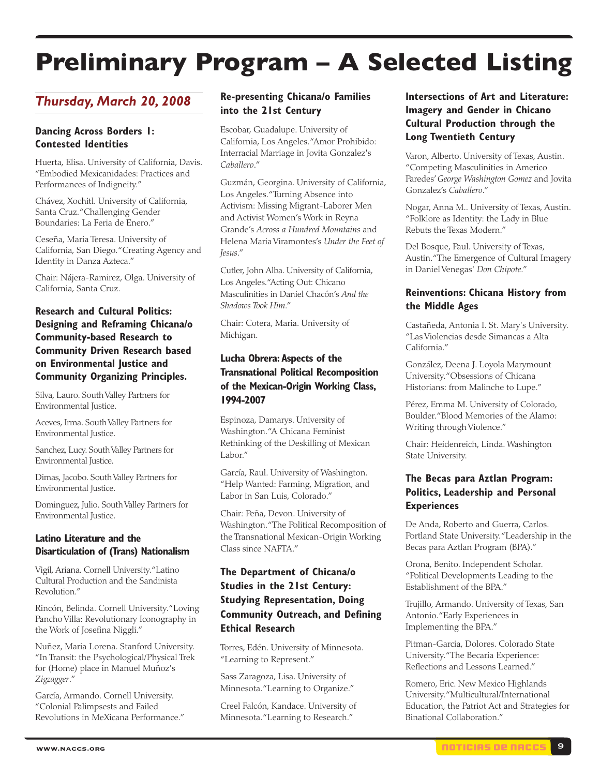# **Preliminary Program – A Selected Listing**

## *Thursday, March 20, 2008*

#### **Dancing Across Borders 1: Contested Identities**

Huerta, Elisa. University of California, Davis. "Embodied Mexicanidades: Practices and Performances of Indigneity."

Chávez, Xochitl. University of California, Santa Cruz."Challenging Gender Boundaries: La Feria de Enero."

Ceseña, Maria Teresa. University of California, San Diego."Creating Agency and Identity in Danza Azteca."

Chair: Nájera-Ramirez, Olga. University of California, Santa Cruz.

#### **Research and Cultural Politics: Designing and Reframing Chicana/o Community-based Research to Community Driven Research based on Environmental Justice and Community Organizing Principles.**

Silva, Lauro. South Valley Partners for Environmental Justice.

Aceves, Irma. South Valley Partners for Environmental Justice.

Sanchez, Lucy. South Valley Partners for Environmental Justice.

Dimas, Jacobo. South Valley Partners for Environmental Justice.

Dominguez, Julio. SouthValley Partners for Environmental Justice.

#### **Latino Literature and the Disarticulation of (Trans) Nationalism**

Vigil, Ariana. Cornell University."Latino Cultural Production and the Sandinista Revolution."

Rincón, Belinda. Cornell University."Loving PanchoVilla: Revolutionary Iconography in the Work of Josefina Niggli."

Nuñez, Maria Lorena. Stanford University. "In Transit: the Psychological/Physical Trek for (Home) place in Manuel Muñoz's *Zigzagger*."

García, Armando. Cornell University. "Colonial Palimpsests and Failed Revolutions in MeXicana Performance."

#### **Re-presenting Chicana/o Families into the 21st Century**

Escobar, Guadalupe. University of California, Los Angeles."Amor Prohibido: Interracial Marriage in Jovita Gonzalez's *Caballero*."

Guzmán, Georgina. University of California, Los Angeles."Turning Absence into Activism: Missing Migrant-Laborer Men and Activist Women's Work in Reyna Grande's *Across a Hundred Mountains* and Helena MariaViramontes's *Under the Feet of Jesus*."

Cutler, John Alba. University of California, Los Angeles."Acting Out: Chicano Masculinities in Daniel Chacón's *And the Shadows Took Him*."

Chair: Cotera, Maria. University of Michigan.

#### **Lucha Obrera: Aspects of the Transnational Political Recomposition of the Mexican-Origin Working Class, 1994-2007**

Espinoza, Damarys. University of Washington."A Chicana Feminist Rethinking of the Deskilling of Mexican Labor."

García, Raul. University of Washington. "Help Wanted: Farming, Migration, and Labor in San Luis, Colorado."

Chair: Peña, Devon. University of Washington."The Political Recomposition of the Transnational Mexican-Origin Working Class since NAFTA."

#### **The Department of Chicana/o Studies in the 21st Century: Studying Representation, Doing Community Outreach, and Defining Ethical Research**

Torres, Edén. University of Minnesota. "Learning to Represent."

Sass Zaragoza, Lisa. University of Minnesota."Learning to Organize."

Creel Falcón, Kandace. University of Minnesota."Learning to Research."

#### **Intersections of Art and Literature: Imagery and Gender in Chicano Cultural Production through the Long Twentieth Century**

Varon, Alberto. University of Texas, Austin. "Competing Masculinities in Americo Paredes'*George Washington Gomez* and Jovita Gonzalez's *Caballero*."

Nogar, Anna M.. University of Texas, Austin. "Folklore as Identity: the Lady in Blue Rebuts the Texas Modern."

Del Bosque, Paul. University of Texas, Austin."The Emergence of Cultural Imagery in DanielVenegas' *Don Chipote*."

#### **Reinventions: Chicana History from the Middle Ages**

Castañeda, Antonia I. St. Mary's University. "LasViolencias desde Simancas a Alta California."

González, Deena J. Loyola Marymount University."Obsessions of Chicana Historians: from Malinche to Lupe."

Pérez, Emma M. University of Colorado, Boulder."Blood Memories of the Alamo: Writing through Violence."

Chair: Heidenreich, Linda. Washington State University.

#### **The Becas para Aztlan Program: Politics, Leadership and Personal Experiences**

De Anda, Roberto and Guerra, Carlos. Portland State University."Leadership in the Becas para Aztlan Program (BPA)."

Orona, Benito. Independent Scholar. "Political Developments Leading to the Establishment of the BPA."

Trujillo, Armando. University of Texas, San Antonio."Early Experiences in Implementing the BPA."

Pitman-Garcia, Dolores. Colorado State University."The Becaria Experience: Reflections and Lessons Learned."

Romero, Eric. New Mexico Highlands University."Multicultural/International Education, the Patriot Act and Strategies for Binational Collaboration."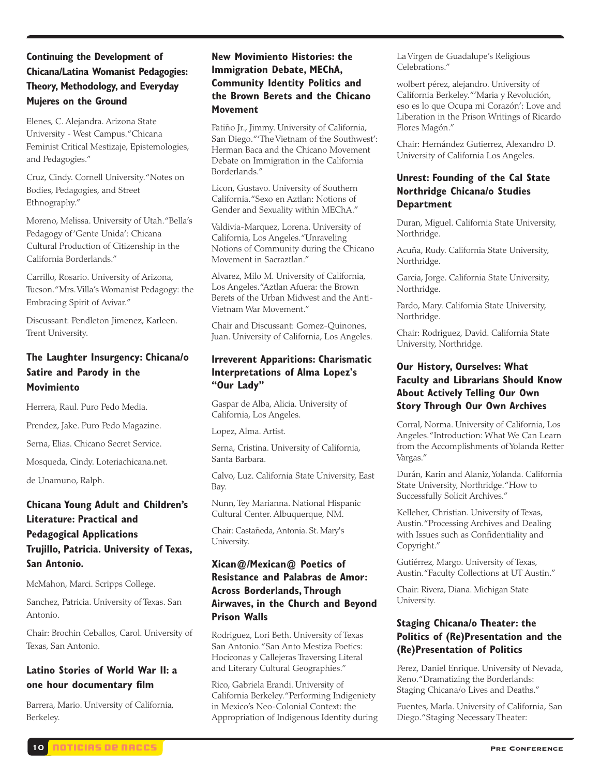#### **Continuing the Development of Chicana/Latina Womanist Pedagogies: Theory, Methodology, and Everyday Mujeres on the Ground**

Elenes, C. Alejandra. Arizona State University - West Campus."Chicana Feminist Critical Mestizaje, Epistemologies, and Pedagogies."

Cruz, Cindy. Cornell University."Notes on Bodies, Pedagogies, and Street Ethnography."

Moreno, Melissa. University of Utah."Bella's Pedagogy of'Gente Unida': Chicana Cultural Production of Citizenship in the California Borderlands."

Carrillo, Rosario. University of Arizona, Tucson."Mrs.Villa's Womanist Pedagogy: the Embracing Spirit of Avivar."

Discussant: Pendleton Jimenez, Karleen. Trent University.

#### **The Laughter Insurgency: Chicana/o Satire and Parody in the Movimiento**

Herrera, Raul. Puro Pedo Media.

Prendez, Jake. Puro Pedo Magazine.

Serna, Elias. Chicano Secret Service.

Mosqueda, Cindy. Loteriachicana.net.

de Unamuno, Ralph.

#### **Chicana Young Adult and Children's Literature: Practical and Pedagogical Applications Trujillo, Patricia. University of Texas, San Antonio.**

McMahon, Marci. Scripps College.

Sanchez, Patricia. University of Texas. San Antonio.

Chair: Brochin Ceballos, Carol. University of Texas, San Antonio.

#### **Latino Stories of World War II: a one hour documentary film**

Barrera, Mario. University of California, Berkeley.

#### **New Movimiento Histories: the Immigration Debate, MEChA, Community Identity Politics and the Brown Berets and the Chicano Movement**

Patiño Jr., Jimmy. University of California, San Diego. "The Vietnam of the Southwest': Herman Baca and the Chicano Movement Debate on Immigration in the California Borderlands."

Licon, Gustavo. University of Southern California."Sexo en Aztlan: Notions of Gender and Sexuality within MEChA."

Valdivia-Marquez, Lorena. University of California, Los Angeles."Unraveling Notions of Community during the Chicano Movement in Sacraztlan."

Alvarez, Milo M. University of California, Los Angeles."Aztlan Afuera: the Brown Berets of the Urban Midwest and the Anti-Vietnam War Movement."

Chair and Discussant: Gomez-Quinones, Juan. University of California, Los Angeles.

#### **Irreverent Apparitions: Charismatic Interpretations of Alma Lopez's "Our Lady"**

Gaspar de Alba, Alicia. University of California, Los Angeles.

Lopez, Alma. Artist.

Serna, Cristina. University of California, Santa Barbara.

Calvo, Luz. California State University, East Bay.

Nunn, Tey Marianna. National Hispanic Cultural Center. Albuquerque, NM.

Chair: Castañeda, Antonia. St. Mary's University.

#### **Xican@/Mexican@ Poetics of Resistance and Palabras de Amor: Across Borderlands, Through Airwaves, in the Church and Beyond Prison Walls**

Rodriguez, Lori Beth. University of Texas San Antonio."San Anto Mestiza Poetics: Hociconas y Callejeras Traversing Literal and Literary Cultural Geographies."

Rico, Gabriela Erandi. University of California Berkeley."Performing Indigeniety in Mexico's Neo-Colonial Context: the Appropriation of Indigenous Identity during LaVirgen de Guadalupe's Religious Celebrations."

wolbert pérez, alejandro. University of California Berkeley."'Maria y Revolución, eso es lo que Ocupa mi Corazón': Love and Liberation in the Prison Writings of Ricardo Flores Magón."

Chair: Hernández Gutierrez, Alexandro D. University of California Los Angeles.

#### **Unrest: Founding of the Cal State Northridge Chicana/o Studies Department**

Duran, Miguel. California State University, Northridge.

Acuña, Rudy. California State University, Northridge.

Garcia, Jorge. California State University, Northridge.

Pardo, Mary. California State University, Northridge.

Chair: Rodriguez, David. California State University, Northridge.

#### **Our History, Ourselves: What Faculty and Librarians Should Know About Actively Telling Our Own Story Through Our Own Archives**

Corral, Norma. University of California, Los Angeles."Introduction: What We Can Learn from the Accomplishments of Yolanda Retter Vargas."

Durán, Karin and Alaniz,Yolanda. California State University, Northridge."How to Successfully Solicit Archives."

Kelleher, Christian. University of Texas, Austin."Processing Archives and Dealing with Issues such as Confidentiality and Copyright."

Gutiérrez, Margo. University of Texas, Austin."Faculty Collections at UT Austin."

Chair: Rivera, Diana. Michigan State University.

#### **Staging Chicana/o Theater: the Politics of (Re)Presentation and the (Re)Presentation of Politics**

Perez, Daniel Enrique. University of Nevada, Reno."Dramatizing the Borderlands: Staging Chicana/o Lives and Deaths."

Fuentes, Marla. University of California, San Diego."Staging Necessary Theater: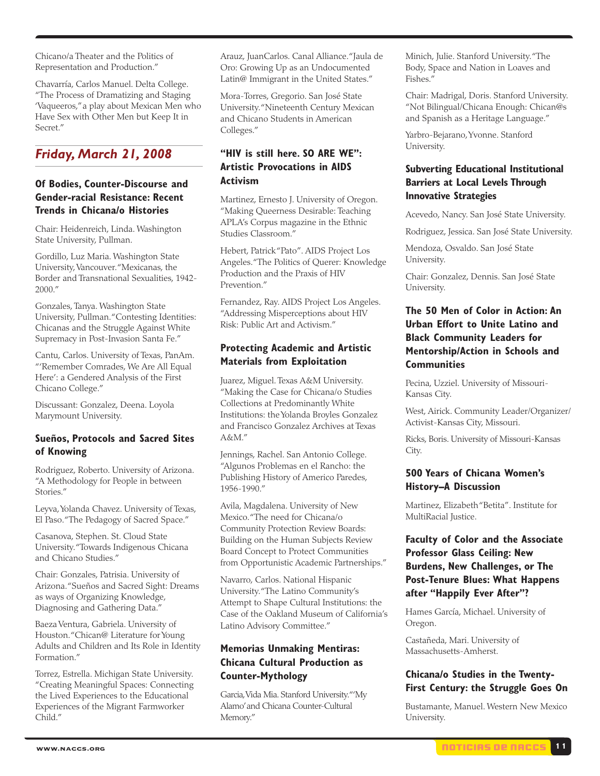Chicano/a Theater and the Politics of Representation and Production."

Chavarría, Carlos Manuel. Delta College. "The Process of Dramatizing and Staging 'Vaqueeros,"a play about Mexican Men who Have Sex with Other Men but Keep It in Secret."

## *Friday, March 21, 2008*

#### **Of Bodies, Counter-Discourse and Gender-racial Resistance: Recent Trends in Chicana/o Histories**

Chair: Heidenreich, Linda. Washington State University, Pullman.

Gordillo, Luz Maria. Washington State University,Vancouver."Mexicanas, the Border and Transnational Sexualities, 1942- 2000."

Gonzales, Tanya. Washington State University, Pullman."Contesting Identities: Chicanas and the Struggle Against White Supremacy in Post-Invasion Santa Fe."

Cantu, Carlos. University of Texas, PanAm. "'Remember Comrades, We Are All Equal Here': a Gendered Analysis of the First Chicano College."

Discussant: Gonzalez, Deena. Loyola Marymount University.

#### **Sueños, Protocols and Sacred Sites of Knowing**

Rodriguez, Roberto. University of Arizona. "A Methodology for People in between Stories."

Leyva, Yolanda Chavez. University of Texas, El Paso."The Pedagogy of Sacred Space."

Casanova, Stephen. St. Cloud State University."Towards Indigenous Chicana and Chicano Studies."

Chair: Gonzales, Patrisia. University of Arizona."Sueños and Sacred Sight: Dreams as ways of Organizing Knowledge, Diagnosing and Gathering Data."

BaezaVentura, Gabriela. University of Houston."Chican@ Literature for Young Adults and Children and Its Role in Identity Formation."

Torrez, Estrella. Michigan State University. "Creating Meaningful Spaces: Connecting the Lived Experiences to the Educational Experiences of the Migrant Farmworker Child."

Arauz, JuanCarlos. Canal Alliance."Jaula de Oro: Growing Up as an Undocumented Latin@ Immigrant in the United States."

Mora-Torres, Gregorio. San José State University."Nineteenth Century Mexican and Chicano Students in American Colleges."

#### **"HIV is still here. SO ARE WE": Artistic Provocations in AIDS Activism**

Martinez, Ernesto J. University of Oregon. "Making Queerness Desirable: Teaching APLA's Corpus magazine in the Ethnic Studies Classroom."

Hebert, Patrick"Pato". AIDS Project Los Angeles."The Politics of Querer: Knowledge Production and the Praxis of HIV Prevention."

Fernandez, Ray. AIDS Project Los Angeles. "Addressing Misperceptions about HIV Risk: Public Art and Activism."

#### **Protecting Academic and Artistic Materials from Exploitation**

Juarez, Miguel. Texas A&M University. "Making the Case for Chicana/o Studies Collections at Predominantly White Institutions: the Yolanda Broyles Gonzalez and Francisco Gonzalez Archives at Texas A&M."

Jennings, Rachel. San Antonio College. "Algunos Problemas en el Rancho: the Publishing History of Americo Paredes, 1956-1990."

Avila, Magdalena. University of New Mexico."The need for Chicana/o Community Protection Review Boards: Building on the Human Subjects Review Board Concept to Protect Communities from Opportunistic Academic Partnerships."

Navarro, Carlos. National Hispanic University."The Latino Community's Attempt to Shape Cultural Institutions: the Case of the Oakland Museum of California's Latino Advisory Committee."

#### **Memorias Unmaking Mentiras: Chicana Cultural Production as Counter-Mythology**

Garcia,Vida Mia. Stanford University."'My Alamo'and Chicana Counter-Cultural Memory."

Minich, Julie. Stanford University."The Body, Space and Nation in Loaves and Fishes."

Chair: Madrigal, Doris. Stanford University. "Not Bilingual/Chicana Enough: Chican@s and Spanish as a Heritage Language."

Yarbro-Bejarano,Yvonne. Stanford University.

#### **Subverting Educational Institutional Barriers at Local Levels Through Innovative Strategies**

Acevedo, Nancy. San José State University.

Rodriguez, Jessica. San José State University.

Mendoza, Osvaldo. San José State University.

Chair: Gonzalez, Dennis. San José State University.

#### **The 50 Men of Color in Action: An Urban Effort to Unite Latino and Black Community Leaders for Mentorship/Action in Schools and Communities**

Pecina, Uzziel. University of Missouri-Kansas City.

West, Airick. Community Leader/Organizer/ Activist-Kansas City, Missouri.

Ricks, Boris. University of Missouri-Kansas City.

#### **500 Years of Chicana Women's History–A Discussion**

Martinez, Elizabeth"Betita". Institute for MultiRacial Justice.

#### **Faculty of Color and the Associate Professor Glass Ceiling: New Burdens, New Challenges, or The Post-Tenure Blues: What Happens after "Happily Ever After"?**

Hames García, Michael. University of Oregon.

Castañeda, Mari. University of Massachusetts-Amherst.

#### **Chicana/o Studies in the Twenty-First Century: the Struggle Goes On**

Bustamante, Manuel. Western New Mexico University.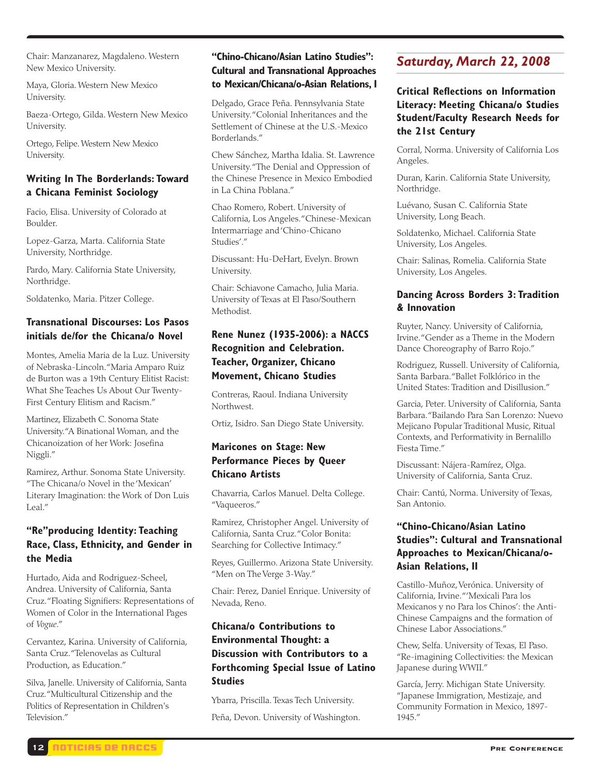Chair: Manzanarez, Magdaleno. Western New Mexico University.

Maya, Gloria. Western New Mexico University.

Baeza-Ortego, Gilda. Western New Mexico University.

Ortego, Felipe. Western New Mexico University.

#### **Writing In The Borderlands: Toward a Chicana Feminist Sociology**

Facio, Elisa. University of Colorado at Boulder.

Lopez-Garza, Marta. California State University, Northridge.

Pardo, Mary. California State University, Northridge.

Soldatenko, Maria. Pitzer College.

#### **Transnational Discourses: Los Pasos initials de/for the Chicana/o Novel**

Montes, Amelia Maria de la Luz. University of Nebraska-Lincoln."Maria Amparo Ruiz de Burton was a 19th Century Elitist Racist: What She Teaches Us About Our Twenty-First Century Elitism and Racism."

Martinez, Elizabeth C. Sonoma State University."A Binational Woman, and the Chicanoization of her Work: Josefina Niggli."

Ramirez, Arthur. Sonoma State University. "The Chicana/o Novel in the 'Mexican' Literary Imagination: the Work of Don Luis Leal."

#### **"Re"producing Identity: Teaching Race, Class, Ethnicity, and Gender in the Media**

Hurtado, Aida and Rodriguez-Scheel, Andrea. University of California, Santa Cruz."Floating Signifiers: Representations of Women of Color in the International Pages of *Vogue*."

Cervantez, Karina. University of California, Santa Cruz."Telenovelas as Cultural Production, as Education."

Silva, Janelle. University of California, Santa Cruz."Multicultural Citizenship and the Politics of Representation in Children's Television."

#### **"Chino-Chicano/Asian Latino Studies": Cultural and Transnational Approaches to Mexican/Chicana/o-Asian Relations, I**

Delgado, Grace Peña. Pennsylvania State University."Colonial Inheritances and the Settlement of Chinese at the U.S.-Mexico Borderlands."

Chew Sánchez, Martha Idalia. St. Lawrence University."The Denial and Oppression of the Chinese Presence in Mexico Embodied in La China Poblana."

Chao Romero, Robert. University of California, Los Angeles."Chinese-Mexican Intermarriage and'Chino-Chicano Studies'."

Discussant: Hu-DeHart, Evelyn. Brown University.

Chair: Schiavone Camacho, Julia Maria. University of Texas at El Paso/Southern **Methodist** 

#### **Rene Nunez (1935-2006): a NACCS Recognition and Celebration. Teacher, Organizer, Chicano Movement, Chicano Studies**

Contreras, Raoul. Indiana University Northwest.

Ortiz, Isidro. San Diego State University.

#### **Maricones on Stage: New Performance Pieces by Queer Chicano Artists**

Chavarria, Carlos Manuel. Delta College. "Vaqueeros."

Ramirez, Christopher Angel. University of California, Santa Cruz."Color Bonita: Searching for Collective Intimacy."

Reyes, Guillermo. Arizona State University. "Men on The Verge 3-Way."

Chair: Perez, Daniel Enrique. University of Nevada, Reno.

#### **Chicana/o Contributions to Environmental Thought: a Discussion with Contributors to a Forthcoming Special Issue of Latino Studies**

Ybarra, Priscilla. Texas Tech University.

Peña, Devon. University of Washington.

## *Saturday, March 22, 2008*

#### **Critical Reflections on Information Literacy: Meeting Chicana/o Studies Student/Faculty Research Needs for the 21st Century**

Corral, Norma. University of California Los Angeles.

Duran, Karin. California State University, Northridge.

Luévano, Susan C. California State University, Long Beach.

Soldatenko, Michael. California State University, Los Angeles.

Chair: Salinas, Romelia. California State University, Los Angeles.

#### **Dancing Across Borders 3: Tradition & Innovation**

Ruyter, Nancy. University of California, Irvine."Gender as a Theme in the Modern Dance Choreography of Barro Rojo."

Rodriguez, Russell. University of California, Santa Barbara."Ballet Folklórico in the United States: Tradition and Disillusion."

Garcia, Peter. University of California, Santa Barbara."Bailando Para San Lorenzo: Nuevo Mejicano Popular Traditional Music, Ritual Contexts, and Performativity in Bernalillo Fiesta Time."

Discussant: Nájera-Ramírez, Olga. University of California, Santa Cruz.

Chair: Cantú, Norma. University of Texas, San Antonio.

#### **"Chino-Chicano/Asian Latino Studies": Cultural and Transnational Approaches to Mexican/Chicana/o-Asian Relations, II**

Castillo-Muñoz,Verónica. University of California, Irvine."'Mexicali Para los Mexicanos y no Para los Chinos': the Anti-Chinese Campaigns and the formation of Chinese Labor Associations."

Chew, Selfa. University of Texas, El Paso. "Re-imagining Collectivities: the Mexican Japanese during WWII."

García, Jerry. Michigan State University. "Japanese Immigration, Mestizaje, and Community Formation in Mexico, 1897- 1945."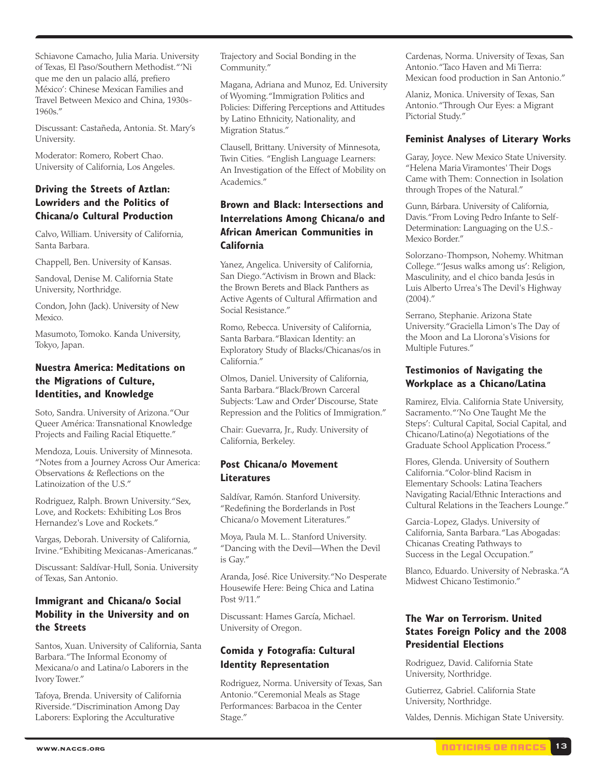Schiavone Camacho, Julia Maria. University of Texas, El Paso/Southern Methodist."'Ni que me den un palacio allá, prefiero México': Chinese Mexican Families and Travel Between Mexico and China, 1930s-1960s."

Discussant: Castañeda, Antonia. St. Mary's University.

Moderator: Romero, Robert Chao. University of California, Los Angeles.

#### **Driving the Streets of Aztlan: Lowriders and the Politics of Chicana/o Cultural Production**

Calvo, William. University of California, Santa Barbara.

Chappell, Ben. University of Kansas.

Sandoval, Denise M. California State University, Northridge.

Condon, John (Jack). University of New Mexico.

Masumoto, Tomoko. Kanda University, Tokyo, Japan.

#### **Nuestra America: Meditations on the Migrations of Culture, Identities, and Knowledge**

Soto, Sandra. University of Arizona."Our Queer América: Transnational Knowledge Projects and Failing Racial Etiquette."

Mendoza, Louis. University of Minnesota. "Notes from a Journey Across Our America: Observations & Reflections on the Latinoization of the U.S."

Rodriguez, Ralph. Brown University."Sex, Love, and Rockets: Exhibiting Los Bros Hernandez's Love and Rockets."

Vargas, Deborah. University of California, Irvine."Exhibiting Mexicanas-Americanas."

Discussant: Saldívar-Hull, Sonia. University of Texas, San Antonio.

#### **Immigrant and Chicana/o Social Mobility in the University and on the Streets**

Santos, Xuan. University of California, Santa Barbara."The Informal Economy of Mexicana/o and Latina/o Laborers in the Ivory Tower."

Tafoya, Brenda. University of California Riverside."Discrimination Among Day Laborers: Exploring the Acculturative

Trajectory and Social Bonding in the Community."

Magana, Adriana and Munoz, Ed. University of Wyoming."Immigration Politics and Policies: Differing Perceptions and Attitudes by Latino Ethnicity, Nationality, and Migration Status."

Clausell, Brittany. University of Minnesota, Twin Cities. "English Language Learners: An Investigation of the Effect of Mobility on Academics."

#### **Brown and Black: Intersections and Interrelations Among Chicana/o and African American Communities in California**

Yanez, Angelica. University of California, San Diego."Activism in Brown and Black: the Brown Berets and Black Panthers as Active Agents of Cultural Affirmation and Social Resistance."

Romo, Rebecca. University of California, Santa Barbara."Blaxican Identity: an Exploratory Study of Blacks/Chicanas/os in California."

Olmos, Daniel. University of California, Santa Barbara."Black/Brown Carceral Subjects:'Law and Order'Discourse, State Repression and the Politics of Immigration."

Chair: Guevarra, Jr., Rudy. University of California, Berkeley.

#### **Post Chicana/o Movement Literatures**

Saldívar, Ramón. Stanford University. "Redefining the Borderlands in Post Chicana/o Movement Literatures."

Moya, Paula M. L.. Stanford University. "Dancing with the Devil—When the Devil is Gay."

Aranda, José. Rice University."No Desperate Housewife Here: Being Chica and Latina Post 9/11."

Discussant: Hames García, Michael. University of Oregon.

#### **Comida y Fotografía: Cultural Identity Representation**

Rodriguez, Norma. University of Texas, San Antonio."Ceremonial Meals as Stage Performances: Barbacoa in the Center Stage."

Cardenas, Norma. University of Texas, San Antonio."Taco Haven and Mi Tierra: Mexican food production in San Antonio."

Alaniz, Monica. University of Texas, San Antonio."Through Our Eyes: a Migrant Pictorial Study."

#### **Feminist Analyses of Literary Works**

Garay, Joyce. New Mexico State University. "Helena MariaViramontes' Their Dogs Came with Them: Connection in Isolation through Tropes of the Natural."

Gunn, Bárbara. University of California, Davis."From Loving Pedro Infante to Self-Determination: Languaging on the U.S.- Mexico Border."

Solorzano-Thompson, Nohemy. Whitman College."'Jesus walks among us': Religion, Masculinity, and el chico banda Jesús in Luis Alberto Urrea's The Devil's Highway  $(2004)$ ."

Serrano, Stephanie. Arizona State University."Graciella Limon's The Day of the Moon and La Llorona's Visions for Multiple Futures."

#### **Testimonios of Navigating the Workplace as a Chicano/Latina**

Ramirez, Elvia. California State University, Sacramento."'No One Taught Me the Steps': Cultural Capital, Social Capital, and Chicano/Latino(a) Negotiations of the Graduate School Application Process."

Flores, Glenda. University of Southern California."Color-blind Racism in Elementary Schools: Latina Teachers Navigating Racial/Ethnic Interactions and Cultural Relations in the Teachers Lounge."

Garcia-Lopez, Gladys. University of California, Santa Barbara."Las Abogadas: Chicanas Creating Pathways to Success in the Legal Occupation."

Blanco, Eduardo. University of Nebraska."A Midwest Chicano Testimonio."

#### **The War on Terrorism. United States Foreign Policy and the 2008 Presidential Elections**

Rodriguez, David. California State University, Northridge.

Gutierrez, Gabriel. California State University, Northridge.

Valdes, Dennis. Michigan State University.